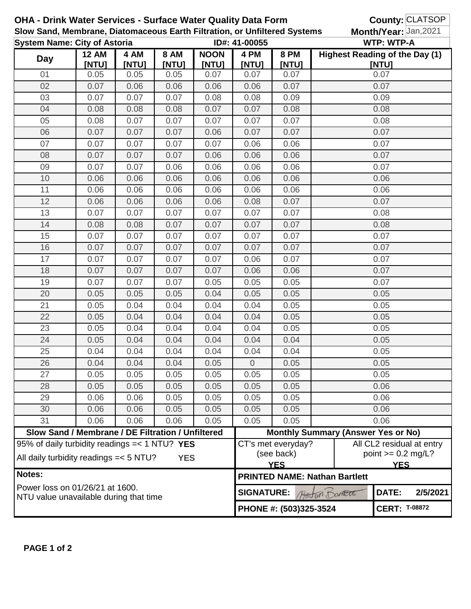| <b>OHA - Drink Water Services - Surface Water Quality Data Form</b><br>Slow Sand, Membrane, Diatomaceous Earth Filtration, or Unfiltered Systems<br><b>System Name: City of Astoria</b> |                                                   |               |                      |                      |                                                                                       |                      | County: CLATSOP<br>Month/Year: Jan, 2021<br><b>WTP: WTP-A</b> |                      |  |
|-----------------------------------------------------------------------------------------------------------------------------------------------------------------------------------------|---------------------------------------------------|---------------|----------------------|----------------------|---------------------------------------------------------------------------------------|----------------------|---------------------------------------------------------------|----------------------|--|
|                                                                                                                                                                                         |                                                   |               |                      | ID#: 41-00055        |                                                                                       |                      |                                                               |                      |  |
| <b>Day</b>                                                                                                                                                                              | <b>12 AM</b><br>[NTU]                             | 4 AM<br>[NTU] | <b>8 AM</b><br>[NTU] | <b>NOON</b><br>[NTU] | 4 PM<br>[NTU]                                                                         | <b>8 PM</b><br>[NTU] | <b>Highest Reading of the Day (1)</b>                         | [NTU]                |  |
| 01                                                                                                                                                                                      | 0.05                                              | 0.05          | 0.05                 | 0.07                 | 0.07                                                                                  | 0.07                 |                                                               | 0.07                 |  |
| 02                                                                                                                                                                                      | 0.07                                              | 0.06          | 0.06                 | 0.06                 | 0.06                                                                                  | 0.07                 |                                                               | 0.07                 |  |
| 03                                                                                                                                                                                      | 0.07                                              | 0.07          | 0.07                 | 0.08                 | 0.08                                                                                  | 0.09                 |                                                               | 0.09                 |  |
| 04                                                                                                                                                                                      | 0.08                                              | 0.08          | 0.08                 | 0.07                 | 0.07                                                                                  | 0.08                 | 0.08                                                          |                      |  |
| 05                                                                                                                                                                                      | 0.08                                              | 0.07          | 0.07                 | 0.07                 | 0.07                                                                                  | 0.07                 | 0.08                                                          |                      |  |
| 06                                                                                                                                                                                      | 0.07                                              | 0.07          | 0.07                 | 0.06                 | 0.07                                                                                  | 0.07                 | 0.07                                                          |                      |  |
| 07                                                                                                                                                                                      | 0.07                                              | 0.07          | 0.07                 | 0.07                 | 0.06                                                                                  | 0.06                 |                                                               | 0.07                 |  |
| 08                                                                                                                                                                                      | 0.07                                              | 0.07          | 0.07                 | 0.06                 | 0.06                                                                                  | 0.06                 | 0.07                                                          |                      |  |
| 09                                                                                                                                                                                      | 0.07                                              | 0.07          | 0.06                 | 0.06                 | 0.06                                                                                  | 0.06                 |                                                               | 0.07                 |  |
| 10                                                                                                                                                                                      | 0.06                                              | 0.06          | 0.06                 | 0.06                 | 0.06                                                                                  | 0.06                 |                                                               | 0.06                 |  |
| 11                                                                                                                                                                                      | 0.06                                              | 0.06          | 0.06                 | 0.06                 | 0.06                                                                                  | 0.06                 |                                                               | 0.06                 |  |
| 12                                                                                                                                                                                      | 0.06                                              | 0.06          | 0.06                 | 0.06                 | 0.08                                                                                  | 0.07                 |                                                               | 0.07                 |  |
| 13                                                                                                                                                                                      | 0.07                                              | 0.07          | 0.07                 | 0.07                 | 0.07                                                                                  | 0.07                 |                                                               | 0.08                 |  |
| 14                                                                                                                                                                                      | 0.08                                              | 0.08          | 0.07                 | 0.07                 | 0.07                                                                                  | 0.07                 |                                                               | 0.08                 |  |
| 15                                                                                                                                                                                      | 0.07                                              | 0.07          | 0.07                 | 0.07                 | 0.07                                                                                  | 0.07                 |                                                               | 0.07                 |  |
| 16                                                                                                                                                                                      | 0.07                                              | 0.07          | 0.07                 | 0.07                 | 0.07                                                                                  | 0.07                 |                                                               | 0.07                 |  |
| 17                                                                                                                                                                                      | 0.07                                              | 0.07          | 0.07                 | 0.07                 | 0.06                                                                                  | 0.07                 |                                                               | 0.07                 |  |
| 18                                                                                                                                                                                      | 0.07                                              | 0.07          | 0.07                 | 0.07                 | 0.06                                                                                  | 0.06                 |                                                               | 0.07                 |  |
| 19                                                                                                                                                                                      | 0.07                                              | 0.07          | 0.07                 | 0.05                 | 0.05                                                                                  | 0.05                 | 0.07                                                          |                      |  |
| 20                                                                                                                                                                                      | 0.05                                              | 0.05          | 0.05                 | 0.04                 | 0.05                                                                                  | 0.05                 | 0.05                                                          |                      |  |
| 21                                                                                                                                                                                      | 0.05                                              | 0.04          | 0.04                 | 0.04                 | 0.04                                                                                  | 0.05                 | 0.05                                                          |                      |  |
| 22                                                                                                                                                                                      | 0.05                                              | 0.04          | 0.04                 | 0.04                 | 0.04                                                                                  | 0.05                 | 0.05                                                          |                      |  |
| 23                                                                                                                                                                                      | 0.05                                              | 0.04          | 0.04                 | 0.04                 | 0.04                                                                                  | 0.05                 | 0.05                                                          |                      |  |
| 24                                                                                                                                                                                      | 0.05                                              | 0.04          | 0.04                 | 0.04                 | 0.04                                                                                  | 0.04                 | 0.05                                                          |                      |  |
| 25                                                                                                                                                                                      | 0.04                                              | 0.04          | 0.04                 | 0.04                 | 0.04                                                                                  | 0.04                 | 0.05                                                          |                      |  |
| 26                                                                                                                                                                                      | 0.04                                              | 0.04          | 0.04                 | 0.05                 | $\overline{0}$                                                                        | 0.05                 | 0.05                                                          |                      |  |
| 27                                                                                                                                                                                      | 0.05                                              | 0.05          | 0.05                 | 0.05                 | 0.05                                                                                  | 0.05                 |                                                               | 0.05                 |  |
| 28                                                                                                                                                                                      | 0.05                                              | 0.05          | 0.05                 | 0.05                 | 0.05                                                                                  | 0.05                 |                                                               | 0.06                 |  |
| 29                                                                                                                                                                                      | 0.06                                              | 0.06          | 0.05                 | 0.05                 | 0.05                                                                                  | 0.05                 |                                                               | 0.06                 |  |
| 30                                                                                                                                                                                      | 0.06                                              | 0.06          | 0.05                 | 0.05                 | 0.05                                                                                  | 0.05                 |                                                               | 0.06                 |  |
| 31                                                                                                                                                                                      | 0.06                                              | 0.06          | 0.06                 | 0.05                 | 0.05                                                                                  | 0.05                 |                                                               | 0.06                 |  |
|                                                                                                                                                                                         | Slow Sand / Membrane / DE Filtration / Unfiltered |               |                      |                      |                                                                                       |                      | <b>Monthly Summary (Answer Yes or No)</b>                     |                      |  |
| 95% of daily turbidity readings = < 1 NTU? YES<br>All daily turbidity readings = < 5 NTU?<br><b>YES</b>                                                                                 |                                                   |               |                      |                      | All CL2 residual at entry<br>CT's met everyday?<br>(see back)<br>point $>= 0.2$ mg/L? |                      |                                                               |                      |  |
| Notes:                                                                                                                                                                                  |                                                   |               |                      |                      |                                                                                       | <b>YES</b>           | <b>PRINTED NAME: Nathan Bartlett</b>                          | <b>YES</b>           |  |
| Power loss on 01/26/21 at 1600.                                                                                                                                                         |                                                   |               |                      | <b>SIGNATURE:</b>    |                                                                                       | Austria Domete       | DATE:                                                         | 2/5/2021             |  |
| NTU value unavailable during that time                                                                                                                                                  |                                                   |               |                      |                      | PHONE #: (503)325-3524                                                                |                      |                                                               | <b>CERT: T-08872</b> |  |